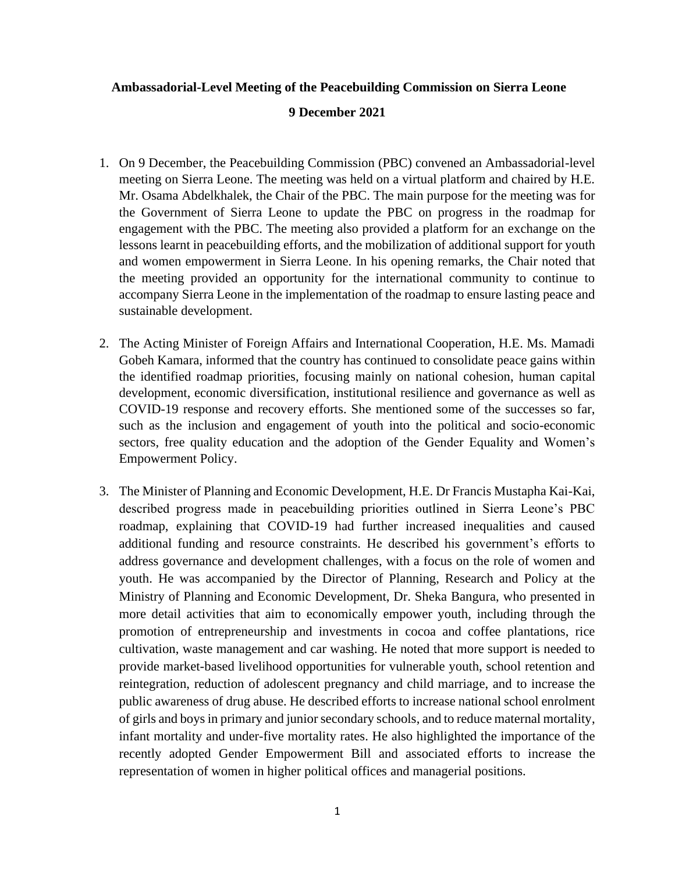## **Ambassadorial-Level Meeting of the Peacebuilding Commission on Sierra Leone**

## **9 December 2021**

- 1. On 9 December, the Peacebuilding Commission (PBC) convened an Ambassadorial-level meeting on Sierra Leone. The meeting was held on a virtual platform and chaired by H.E. Mr. Osama Abdelkhalek, the Chair of the PBC. The main purpose for the meeting was for the Government of Sierra Leone to update the PBC on progress in the roadmap for engagement with the PBC. The meeting also provided a platform for an exchange on the lessons learnt in peacebuilding efforts, and the mobilization of additional support for youth and women empowerment in Sierra Leone. In his opening remarks, the Chair noted that the meeting provided an opportunity for the international community to continue to accompany Sierra Leone in the implementation of the roadmap to ensure lasting peace and sustainable development.
- 2. The Acting Minister of Foreign Affairs and International Cooperation, H.E. Ms. Mamadi Gobeh Kamara, informed that the country has continued to consolidate peace gains within the identified roadmap priorities, focusing mainly on national cohesion, human capital development, economic diversification, institutional resilience and governance as well as COVID-19 response and recovery efforts. She mentioned some of the successes so far, such as the inclusion and engagement of youth into the political and socio-economic sectors, free quality education and the adoption of the Gender Equality and Women's Empowerment Policy.
- 3. The Minister of Planning and Economic Development, H.E. Dr Francis Mustapha Kai-Kai, described progress made in peacebuilding priorities outlined in Sierra Leone's PBC roadmap, explaining that COVID-19 had further increased inequalities and caused additional funding and resource constraints. He described his government's efforts to address governance and development challenges, with a focus on the role of women and youth. He was accompanied by the Director of Planning, Research and Policy at the Ministry of Planning and Economic Development, Dr. Sheka Bangura, who presented in more detail activities that aim to economically empower youth, including through the promotion of entrepreneurship and investments in cocoa and coffee plantations, rice cultivation, waste management and car washing. He noted that more support is needed to provide market-based livelihood opportunities for vulnerable youth, school retention and reintegration, reduction of adolescent pregnancy and child marriage, and to increase the public awareness of drug abuse. He described efforts to increase national school enrolment of girls and boys in primary and junior secondary schools, and to reduce maternal mortality, infant mortality and under-five mortality rates. He also highlighted the importance of the recently adopted Gender Empowerment Bill and associated efforts to increase the representation of women in higher political offices and managerial positions.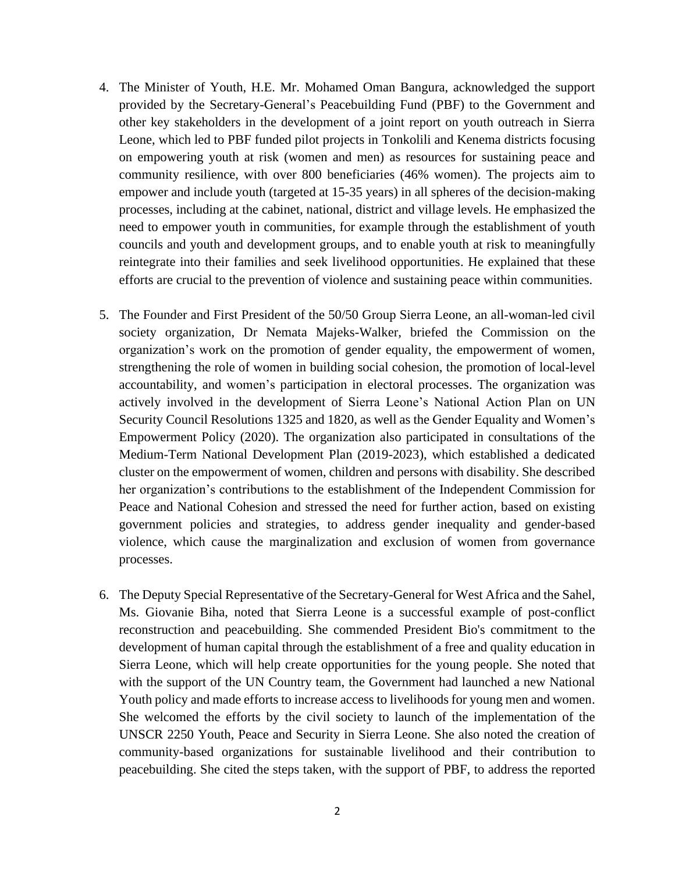- 4. The Minister of Youth, H.E. Mr. Mohamed Oman Bangura, acknowledged the support provided by the Secretary-General's Peacebuilding Fund (PBF) to the Government and other key stakeholders in the development of a joint report on youth outreach in Sierra Leone, which led to PBF funded pilot projects in Tonkolili and Kenema districts focusing on empowering youth at risk (women and men) as resources for sustaining peace and community resilience, with over 800 beneficiaries (46% women). The projects aim to empower and include youth (targeted at 15-35 years) in all spheres of the decision-making processes, including at the cabinet, national, district and village levels. He emphasized the need to empower youth in communities, for example through the establishment of youth councils and youth and development groups, and to enable youth at risk to meaningfully reintegrate into their families and seek livelihood opportunities. He explained that these efforts are crucial to the prevention of violence and sustaining peace within communities.
- 5. The Founder and First President of the 50/50 Group Sierra Leone, an all-woman-led civil society organization, Dr Nemata Majeks-Walker, briefed the Commission on the organization's work on the promotion of gender equality, the empowerment of women, strengthening the role of women in building social cohesion, the promotion of local-level accountability, and women's participation in electoral processes. The organization was actively involved in the development of Sierra Leone's National Action Plan on UN Security Council Resolutions 1325 and 1820, as well as the Gender Equality and Women's Empowerment Policy (2020). The organization also participated in consultations of the Medium-Term National Development Plan (2019-2023), which established a dedicated cluster on the empowerment of women, children and persons with disability. She described her organization's contributions to the establishment of the Independent Commission for Peace and National Cohesion and stressed the need for further action, based on existing government policies and strategies, to address gender inequality and gender-based violence, which cause the marginalization and exclusion of women from governance processes.
- 6. The Deputy Special Representative of the Secretary-General for West Africa and the Sahel, Ms. Giovanie Biha, noted that Sierra Leone is a successful example of post-conflict reconstruction and peacebuilding. She commended President Bio's commitment to the development of human capital through the establishment of a free and quality education in Sierra Leone, which will help create opportunities for the young people. She noted that with the support of the UN Country team, the Government had launched a new National Youth policy and made efforts to increase access to livelihoods for young men and women. She welcomed the efforts by the civil society to launch of the implementation of the UNSCR 2250 Youth, Peace and Security in Sierra Leone. She also noted the creation of community-based organizations for sustainable livelihood and their contribution to peacebuilding. She cited the steps taken, with the support of PBF, to address the reported